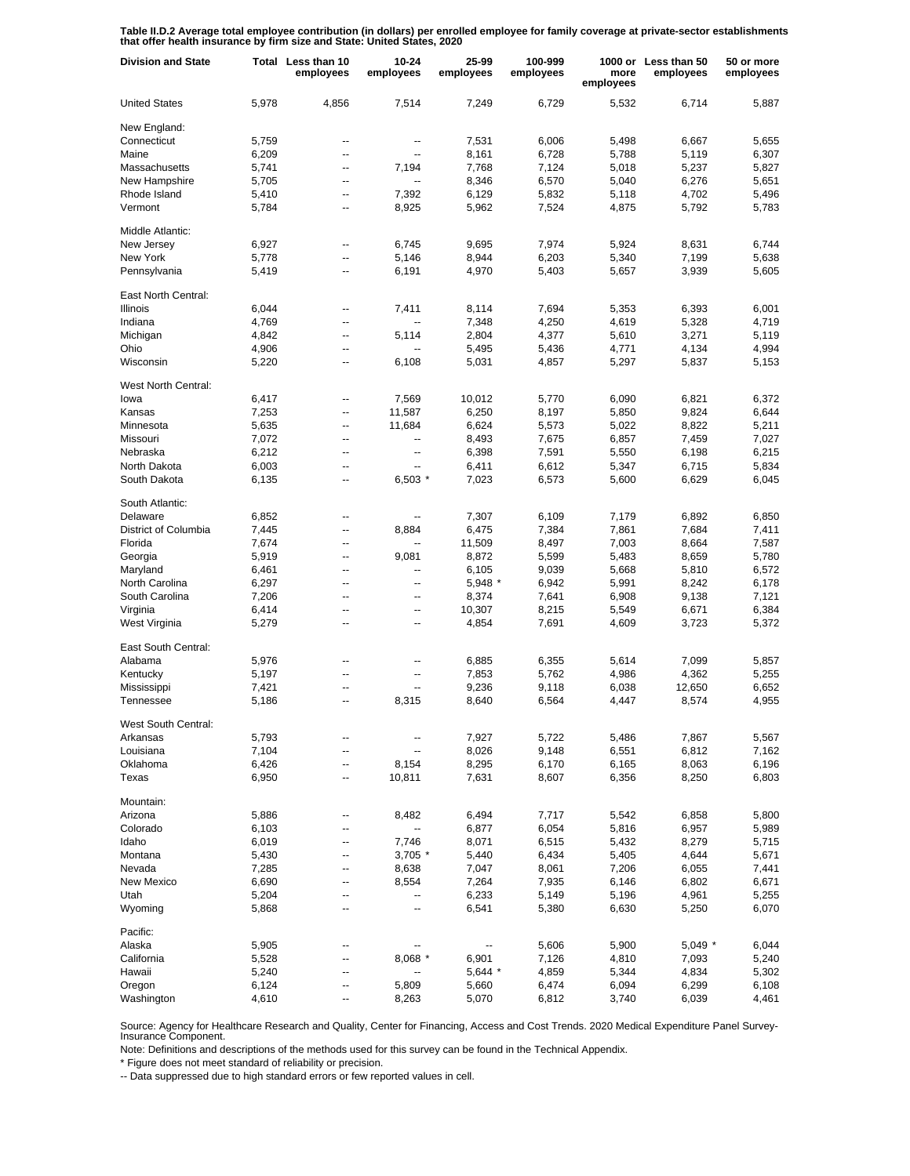**Table II.D.2 Average total employee contribution (in dollars) per enrolled employee for family coverage at private-sector establishments that offer health insurance by firm size and State: United States, 2020**

| <b>Division and State</b>  | Total | Less than 10<br>employees | $10 - 24$<br>employees | 25-99<br>employees | 100-999<br>employees | more<br>employees | 1000 or Less than 50<br>employees | 50 or more<br>employees |
|----------------------------|-------|---------------------------|------------------------|--------------------|----------------------|-------------------|-----------------------------------|-------------------------|
| <b>United States</b>       | 5,978 | 4,856                     | 7,514                  | 7,249              | 6,729                | 5,532             | 6,714                             | 5,887                   |
| New England:               |       |                           |                        |                    |                      |                   |                                   |                         |
| Connecticut                | 5,759 | --                        | --                     | 7,531              | 6,006                | 5,498             | 6,667                             | 5.655                   |
| Maine                      | 6,209 | $\overline{\phantom{a}}$  | --                     | 8,161              | 6,728                | 5,788             | 5,119                             | 6,307                   |
| Massachusetts              | 5,741 | $\overline{a}$            | 7,194                  | 7,768              | 7,124                | 5,018             | 5,237                             | 5,827                   |
| New Hampshire              | 5,705 | $\overline{\phantom{a}}$  |                        | 8,346              | 6,570                | 5,040             | 6,276                             | 5,651                   |
|                            |       |                           |                        |                    |                      |                   |                                   |                         |
| Rhode Island               | 5,410 | --                        | 7,392                  | 6,129              | 5,832                | 5,118             | 4,702                             | 5,496                   |
| Vermont                    | 5,784 | $\overline{\phantom{a}}$  | 8,925                  | 5,962              | 7,524                | 4,875             | 5,792                             | 5,783                   |
| Middle Atlantic:           |       |                           |                        |                    |                      |                   |                                   |                         |
| New Jersey                 | 6,927 | --                        | 6,745                  | 9,695              | 7,974                | 5,924             | 8,631                             | 6,744                   |
| New York                   | 5,778 | --                        | 5,146                  | 8,944              | 6,203                | 5,340             | 7,199                             | 5,638                   |
| Pennsylvania               | 5,419 | $\overline{\phantom{a}}$  | 6,191                  | 4,970              | 5,403                | 5,657             | 3,939                             | 5,605                   |
| East North Central:        |       |                           |                        |                    |                      |                   |                                   |                         |
| <b>Illinois</b>            | 6,044 | --                        | 7,411                  | 8,114              | 7,694                | 5,353             | 6,393                             | 6,001                   |
| Indiana                    | 4,769 | --                        |                        | 7,348              | 4,250                | 4,619             | 5,328                             | 4,719                   |
| Michigan                   | 4,842 | --                        | 5,114                  | 2,804              | 4,377                | 5,610             | 3,271                             | 5,119                   |
| Ohio                       | 4,906 | --                        |                        | 5,495              | 5,436                | 4,771             | 4,134                             | 4,994                   |
| Wisconsin                  | 5,220 | --                        | 6,108                  | 5,031              | 4,857                | 5,297             | 5,837                             | 5,153                   |
|                            |       |                           |                        |                    |                      |                   |                                   |                         |
| <b>West North Central:</b> |       |                           |                        |                    |                      |                   |                                   |                         |
| lowa                       | 6,417 | $\overline{\phantom{a}}$  | 7.569                  | 10,012             | 5,770                | 6,090             | 6,821                             | 6.372                   |
| Kansas                     | 7,253 | Щ,                        | 11,587                 | 6,250              | 8,197                | 5,850             | 9,824                             | 6,644                   |
| Minnesota                  | 5,635 | Ξ.                        | 11,684                 | 6,624              | 5,573                | 5,022             | 8,822                             | 5,211                   |
| Missouri                   | 7,072 | $\overline{\phantom{a}}$  | ۰.                     | 8,493              | 7,675                | 6,857             | 7,459                             | 7,027                   |
| Nebraska                   | 6,212 | $\overline{a}$            | --                     | 6,398              | 7,591                | 5,550             | 6,198                             | 6,215                   |
| North Dakota               | 6,003 | $\overline{\phantom{a}}$  | $\overline{a}$         | 6,411              | 6,612                | 5,347             | 6,715                             | 5,834                   |
| South Dakota               | 6,135 | Ξ.                        | $6,503*$               | 7,023              | 6,573                | 5,600             | 6,629                             | 6,045                   |
| South Atlantic:            |       |                           |                        |                    |                      |                   |                                   |                         |
|                            |       |                           |                        |                    |                      |                   |                                   |                         |
| Delaware                   | 6,852 | --                        |                        | 7,307              | 6,109                | 7,179             | 6,892                             | 6,850                   |
| District of Columbia       | 7,445 | --                        | 8,884                  | 6,475              | 7,384                | 7,861             | 7,684                             | 7,411                   |
| Florida                    | 7,674 | ۵.                        |                        | 11,509             | 8,497                | 7,003             | 8,664                             | 7,587                   |
| Georgia                    | 5,919 | $\overline{\phantom{a}}$  | 9,081                  | 8,872              | 5,599                | 5,483             | 8,659                             | 5,780                   |
| Maryland                   | 6,461 | ۵.                        | Ξ.                     | 6,105              | 9,039                | 5,668             | 5,810                             | 6,572                   |
| North Carolina             | 6,297 | ۵.                        | Ξ.                     | 5,948 *            | 6,942                | 5,991             | 8,242                             | 6,178                   |
| South Carolina             | 7,206 | ۵.                        | ۰.                     | 8,374              | 7,641                | 6,908             | 9,138                             | 7,121                   |
| Virginia                   | 6,414 | $\overline{\phantom{a}}$  | --                     | 10,307             | 8,215                | 5,549             | 6,671                             | 6,384                   |
| West Virginia              | 5,279 | --                        | --                     | 4,854              | 7,691                | 4,609             | 3,723                             | 5,372                   |
| East South Central:        |       |                           |                        |                    |                      |                   |                                   |                         |
| Alabama                    | 5,976 | ۰.                        | ⊷                      | 6,885              | 6,355                | 5,614             | 7,099                             | 5,857                   |
| Kentucky                   | 5,197 | --                        | --                     | 7,853              | 5,762                | 4,986             | 4,362                             | 5,255                   |
|                            |       |                           |                        |                    |                      |                   |                                   |                         |
| Mississippi                | 7,421 | --                        | --                     | 9,236              | 9,118                | 6,038             | 12,650                            | 6,652                   |
| Tennessee                  | 5,186 | --                        | 8,315                  | 8,640              | 6,564                | 4,447             | 8,574                             | 4,955                   |
| West South Central:        |       |                           |                        |                    |                      |                   |                                   |                         |
| Arkansas                   | 5,793 | --                        |                        | 7,927              | 5,722                | 5,486             | 7,867                             | 5,567                   |
| Louisiana                  | 7,104 | $\overline{\phantom{a}}$  |                        | 8,026              | 9,148                | 6,551             | 6,812                             | 7,162                   |
| Oklahoma                   | 6,426 | --                        | 8,154                  | 8,295              | 6,170                | 6,165             | 8,063                             | 6,196                   |
| Texas                      | 6,950 | ۰.                        | 10,811                 | 7,631              | 8,607                | 6,356             | 8,250                             | 6,803                   |
| Mountain:                  |       |                           |                        |                    |                      |                   |                                   |                         |
| Arizona                    | 5,886 | --                        | 8,482                  | 6,494              | 7,717                | 5,542             | 6,858                             | 5,800                   |
| Colorado                   | 6,103 | --                        | Ξ.                     | 6,877              | 6,054                | 5,816             | 6,957                             | 5,989                   |
| Idaho                      | 6,019 | --                        | 7,746                  | 8,071              | 6,515                | 5,432             | 8,279                             | 5,715                   |
|                            |       | --                        | $3,705$ *              |                    | 6,434                |                   |                                   |                         |
| Montana                    | 5,430 |                           |                        | 5,440              |                      | 5,405             | 4,644                             | 5,671                   |
| Nevada                     | 7,285 | --                        | 8,638                  | 7,047              | 8,061                | 7,206             | 6,055                             | 7,441                   |
| New Mexico                 | 6,690 | --                        | 8,554                  | 7,264              | 7,935                | 6,146             | 6,802                             | 6,671                   |
| Utah                       | 5,204 | --                        | --                     | 6,233              | 5,149                | 5,196             | 4,961                             | 5,255                   |
| Wyoming                    | 5,868 | --                        | --                     | 6,541              | 5,380                | 6,630             | 5,250                             | 6,070                   |
| Pacific:                   |       |                           |                        |                    |                      |                   |                                   |                         |
| Alaska                     | 5,905 | ۰.                        |                        |                    | 5,606                | 5,900             | $5,049$ *                         | 6,044                   |
| California                 | 5,528 | --                        | 8,068 *                | 6,901              | 7,126                | 4,810             | 7,093                             | 5,240                   |
| Hawaii                     | 5,240 | --                        | --                     | 5,644 *            | 4,859                | 5,344             | 4,834                             | 5,302                   |
| Oregon                     | 6,124 | -−                        | 5,809                  | 5,660              | 6,474                | 6,094             | 6,299                             | 6,108                   |
| Washington                 | 4,610 |                           | 8,263                  | 5,070              | 6,812                | 3,740             | 6,039                             | 4,461                   |
|                            |       |                           |                        |                    |                      |                   |                                   |                         |

Source: Agency for Healthcare Research and Quality, Center for Financing, Access and Cost Trends. 2020 Medical Expenditure Panel Survey-Insurance Component.

Note: Definitions and descriptions of the methods used for this survey can be found in the Technical Appendix.

\* Figure does not meet standard of reliability or precision.

-- Data suppressed due to high standard errors or few reported values in cell.